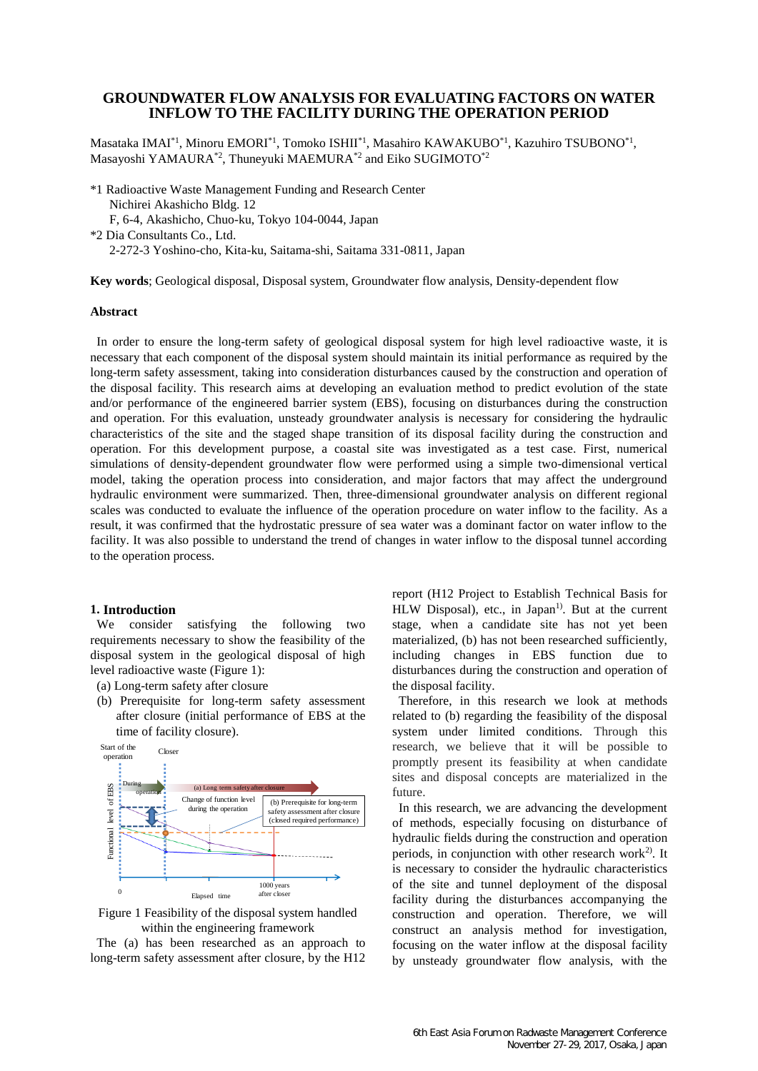# **GROUNDWATER FLOW ANALYSIS FOR EVALUATING FACTORS ON WATER INFLOW TO THE FACILITY DURING THE OPERATION PERIOD**

Masataka IMAI $^{\ast1}$ , Minoru EMORI $^{\ast1}$ , Tomoko ISHII $^{\ast1}$ , Masahiro KAWAKUBO $^{\ast1}$ , Kazuhiro TSUBONO $^{\ast1}$ , Masayoshi YAMAURA\*2, Thuneyuki MAEMURA\*2 and Eiko SUGIMOTO\*2

\*1 Radioactive Waste Management Funding and Research Center Nichirei Akashicho Bldg. 12 F, 6-4, Akashicho, Chuo-ku, Tokyo 104-0044, Japan \*2 Dia Consultants Co., Ltd. 2-272-3 Yoshino-cho, Kita-ku, Saitama-shi, Saitama 331-0811, Japan

**Key words**; Geological disposal, Disposal system, Groundwater flow analysis, Density-dependent flow

### **Abstract**

In order to ensure the long-term safety of geological disposal system for high level radioactive waste, it is necessary that each component of the disposal system should maintain its initial performance as required by the long-term safety assessment, taking into consideration disturbances caused by the construction and operation of the disposal facility. This research aims at developing an evaluation method to predict evolution of the state and/or performance of the engineered barrier system (EBS), focusing on disturbances during the construction and operation. For this evaluation, unsteady groundwater analysis is necessary for considering the hydraulic characteristics of the site and the staged shape transition of its disposal facility during the construction and operation. For this development purpose, a coastal site was investigated as a test case. First, numerical simulations of density-dependent groundwater flow were performed using a simple two-dimensional vertical model, taking the operation process into consideration, and major factors that may affect the underground hydraulic environment were summarized. Then, three-dimensional groundwater analysis on different regional scales was conducted to evaluate the influence of the operation procedure on water inflow to the facility. As a result, it was confirmed that the hydrostatic pressure of sea water was a dominant factor on water inflow to the facility. It was also possible to understand the trend of changes in water inflow to the disposal tunnel according to the operation process.

### **1. Introduction**

We consider satisfying the following two requirements necessary to show the feasibility of the disposal system in the geological disposal of high level radioactive waste [\(Figure 1\)](#page-0-0):

- (a) Long-term safety after closure
- (b) Prerequisite for long-term safety assessment after closure (initial performance of EBS at the time of facility closure).



<span id="page-0-0"></span>Figure 1 Feasibility of the disposal system handled within the engineering framework

The (a) has been researched as an approach to long-term safety assessment after closure, by the H12 report (H12 Project to Establish Technical Basis for  $HLW$  Disposal), etc., in Japan<sup>1)</sup>. But at the current stage, when a candidate site has not yet been materialized, (b) has not been researched sufficiently, including changes in EBS function due to disturbances during the construction and operation of the disposal facility.

Therefore, in this research we look at methods related to (b) regarding the feasibility of the disposal system under limited conditions. Through this research, we believe that it will be possible to promptly present its feasibility at when candidate sites and disposal concepts are materialized in the future.

In this research, we are advancing the development of methods, especially focusing on disturbance of hydraulic fields during the construction and operation periods, in conjunction with other research work<sup>2)</sup>. It is necessary to consider the hydraulic characteristics of the site and tunnel deployment of the disposal facility during the disturbances accompanying the construction and operation. Therefore, we will construct an analysis method for investigation, focusing on the water inflow at the disposal facility by unsteady groundwater flow analysis, with the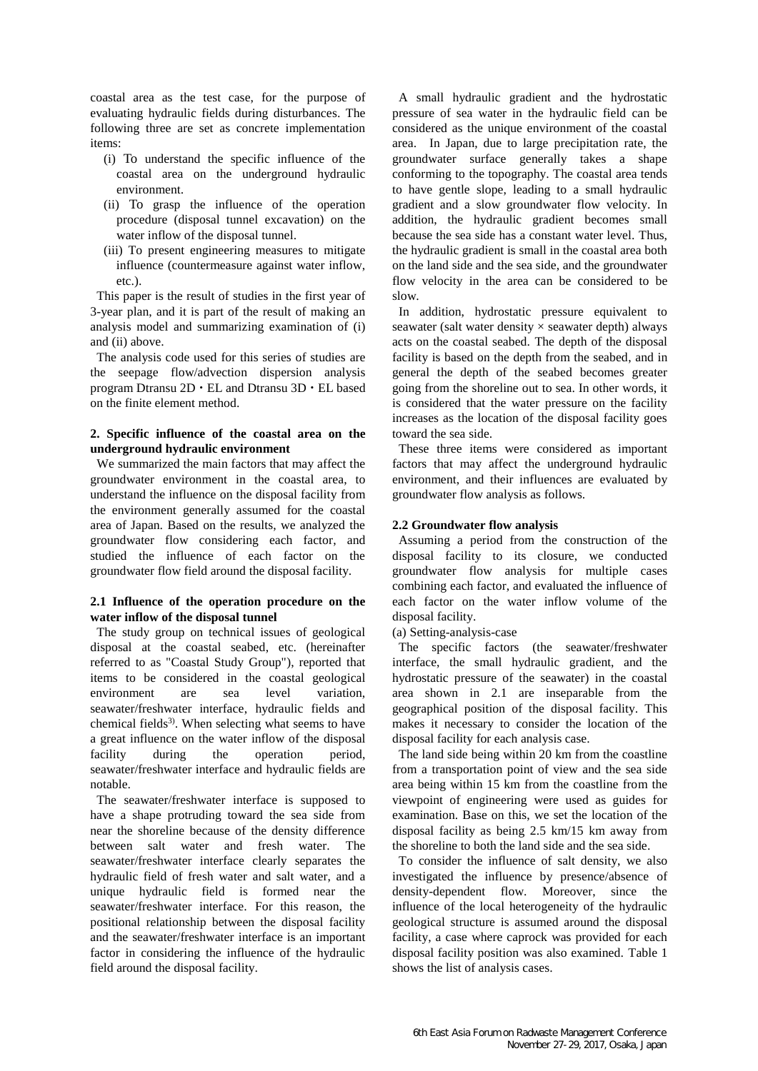coastal area as the test case, for the purpose of evaluating hydraulic fields during disturbances. The following three are set as concrete implementation items:

- (i) To understand the specific influence of the coastal area on the underground hydraulic environment.
- (ii) To grasp the influence of the operation procedure (disposal tunnel excavation) on the water inflow of the disposal tunnel.
- (iii) To present engineering measures to mitigate influence (countermeasure against water inflow, etc.).

This paper is the result of studies in the first year of 3-year plan, and it is part of the result of making an analysis model and summarizing examination of (i) and (ii) above.

The analysis code used for this series of studies are the seepage flow/advection dispersion analysis program Dtransu 2D・EL and Dtransu 3D・EL based on the finite element method.

# **2. Specific influence of the coastal area on the underground hydraulic environment**

We summarized the main factors that may affect the groundwater environment in the coastal area, to understand the influence on the disposal facility from the environment generally assumed for the coastal area of Japan. Based on the results, we analyzed the groundwater flow considering each factor, and studied the influence of each factor on the groundwater flow field around the disposal facility.

## **2.1 Influence of the operation procedure on the water inflow of the disposal tunnel**

The study group on technical issues of geological disposal at the coastal seabed, etc. (hereinafter referred to as "Coastal Study Group"), reported that items to be considered in the coastal geological environment are sea level variation, seawater/freshwater interface, hydraulic fields and chemical fields<sup>3)</sup>. When selecting what seems to have a great influence on the water inflow of the disposal facility during the operation period, seawater/freshwater interface and hydraulic fields are notable.

The seawater/freshwater interface is supposed to have a shape protruding toward the sea side from near the shoreline because of the density difference between salt water and fresh water. The seawater/freshwater interface clearly separates the hydraulic field of fresh water and salt water, and a unique hydraulic field is formed near the seawater/freshwater interface. For this reason, the positional relationship between the disposal facility and the seawater/freshwater interface is an important factor in considering the influence of the hydraulic field around the disposal facility.

A small hydraulic gradient and the hydrostatic pressure of sea water in the hydraulic field can be considered as the unique environment of the coastal area. In Japan, due to large precipitation rate, the groundwater surface generally takes a shape conforming to the topography. The coastal area tends to have gentle slope, leading to a small hydraulic gradient and a slow groundwater flow velocity. In addition, the hydraulic gradient becomes small because the sea side has a constant water level. Thus, the hydraulic gradient is small in the coastal area both on the land side and the sea side, and the groundwater flow velocity in the area can be considered to be slow.

In addition, hydrostatic pressure equivalent to seawater (salt water density  $\times$  seawater depth) always acts on the coastal seabed. The depth of the disposal facility is based on the depth from the seabed, and in general the depth of the seabed becomes greater going from the shoreline out to sea. In other words, it is considered that the water pressure on the facility increases as the location of the disposal facility goes toward the sea side.

These three items were considered as important factors that may affect the underground hydraulic environment, and their influences are evaluated by groundwater flow analysis as follows.

# **2.2 Groundwater flow analysis**

Assuming a period from the construction of the disposal facility to its closure, we conducted groundwater flow analysis for multiple cases combining each factor, and evaluated the influence of each factor on the water inflow volume of the disposal facility.

(a) Setting-analysis-case

The specific factors (the seawater/freshwater interface, the small hydraulic gradient, and the hydrostatic pressure of the seawater) in the coastal area shown in 2.1 are inseparable from the geographical position of the disposal facility. This makes it necessary to consider the location of the disposal facility for each analysis case.

The land side being within 20 km from the coastline from a transportation point of view and the sea side area being within 15 km from the coastline from the viewpoint of engineering were used as guides for examination. Base on this, we set the location of the disposal facility as being 2.5 km/15 km away from the shoreline to both the land side and the sea side.

To consider the influence of salt density, we also investigated the influence by presence/absence of density-dependent flow. Moreover, since the influence of the local heterogeneity of the hydraulic geological structure is assumed around the disposal facility, a case where caprock was provided for each disposal facility position was also examined. [Table 1](#page-2-0) shows the list of analysis cases.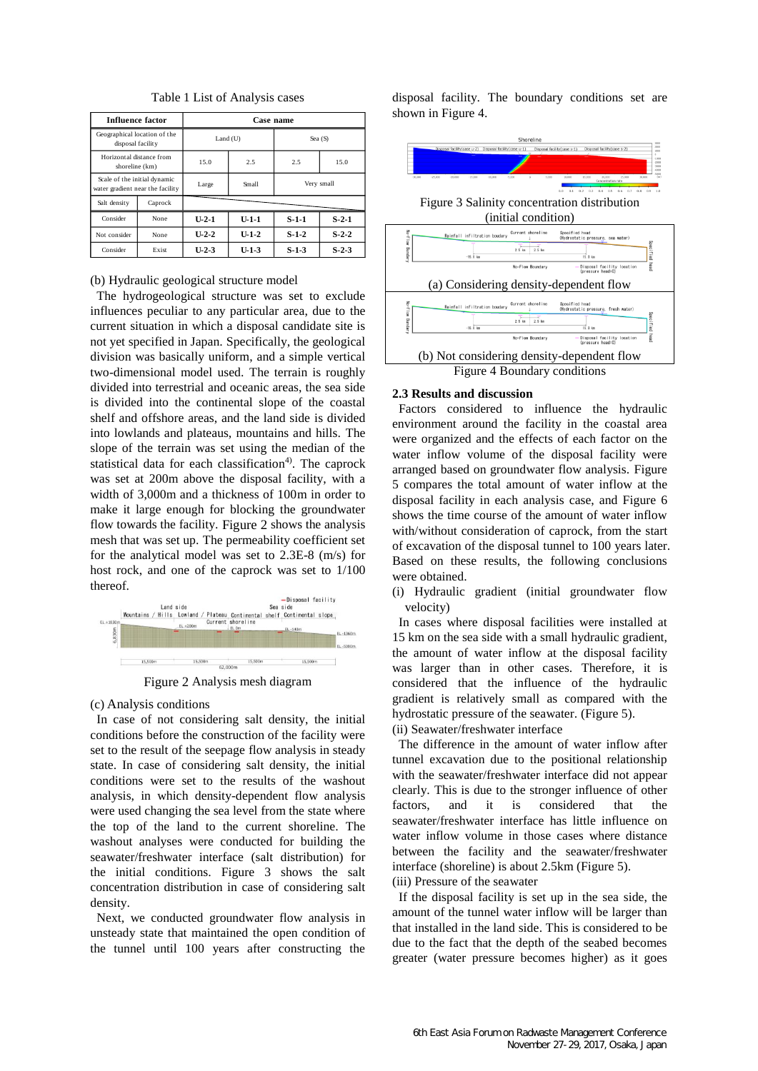<span id="page-2-0"></span>

| <b>Influence factor</b>                                          |         | Case name        |         |            |                  |
|------------------------------------------------------------------|---------|------------------|---------|------------|------------------|
| Geographical location of the<br>disposal facility                |         | $Land$ ( $U$ )   |         | Sea $(S)$  |                  |
| Horizontal distance from<br>shoreline (km)                       |         | 15.0             | 2.5     | 2.5        | 15.0             |
| Scale of the initial dynamic<br>water gradient near the facility |         | Large            | Small   | Very small |                  |
| Salt density                                                     | Caprock |                  |         |            |                  |
| Consider                                                         | None    | U <sub>2</sub> 1 | $U-1-1$ | $S-1-1$    | S <sub>2</sub> 1 |
| Not consider                                                     | None    | $U-2-2$          | $U-1-2$ | $S-1-2$    | $S2$ 2           |
| Consider                                                         | Exist   | $U-2-3$          | $U-1-3$ | $S-1-3$    | $S2-3$           |

Table 1 List of Analysis cases

#### (b) Hydraulic geological structure model

The hydrogeological structure was set to exclude influences peculiar to any particular area, due to the current situation in which a disposal candidate site is not yet specified in Japan. Specifically, the geological division was basically uniform, and a simple vertical two-dimensional model used. The terrain is roughly divided into terrestrial and oceanic areas, the sea side is divided into the continental slope of the coastal shelf and offshore areas, and the land side is divided into lowlands and plateaus, mountains and hills. The slope of the terrain was set using the median of the statistical data for each classification<sup>4)</sup>. The caprock was set at 200m above the disposal facility, with a width of 3,000m and a thickness of 100m in order to make it large enough for blocking the groundwater flow towards the facility. [Figure 2](#page-2-1) shows the analysis mesh that was set up. The permeability coefficient set for the analytical model was set to 2.3E-8 (m/s) for host rock, and one of the caprock was set to 1/100 thereof.



Figure 2 Analysis mesh diagram

<span id="page-2-1"></span>(c) Analysis conditions

In case of not considering salt density, the initial conditions before the construction of the facility were set to the result of the seepage flow analysis in steady state. In case of considering salt density, the initial conditions were set to the results of the washout analysis, in which density-dependent flow analysis were used changing the sea level from the state where the top of the land to the current shoreline. The washout analyses were conducted for building the seawater/freshwater interface (salt distribution) for the initial conditions. [Figure 3](#page-2-2) shows the salt concentration distribution in case of considering salt density.

Next, we conducted groundwater flow analysis in unsteady state that maintained the open condition of the tunnel until 100 years after constructing the disposal facility. The boundary conditions set are shown in [Figure 4.](#page-2-3)

<span id="page-2-2"></span>

#### <span id="page-2-3"></span>**2.3 Results and discussion**

Factors considered to influence the hydraulic environment around the facility in the coastal area were organized and the effects of each factor on the water inflow volume of the disposal facility were arranged based on groundwater flow analysis. [Figure](#page-3-0)  [5](#page-3-0) compares the total amount of water inflow at the disposal facility in each analysis case, and [Figure 6](#page-3-1) shows the time course of the amount of water inflow with/without consideration of caprock, from the start of excavation of the disposal tunnel to 100 years later. Based on these results, the following conclusions were obtained.

(i) Hydraulic gradient (initial groundwater flow velocity)

In cases where disposal facilities were installed at 15 km on the sea side with a small hydraulic gradient, the amount of water inflow at the disposal facility was larger than in other cases. Therefore, it is considered that the influence of the hydraulic gradient is relatively small as compared with the hydrostatic pressure of the seawater. [\(Figure 5\)](#page-3-0). (ii) Seawater/freshwater interface

The difference in the amount of water inflow after tunnel excavation due to the positional relationship with the seawater/freshwater interface did not appear clearly. This is due to the stronger influence of other factors, and it is considered that the seawater/freshwater interface has little influence on water inflow volume in those cases where distance between the facility and the seawater/freshwater interface (shoreline) is about 2.5km [\(Figure 5\)](#page-3-0). (iii) Pressure of the seawater

If the disposal facility is set up in the sea side, the amount of the tunnel water inflow will be larger than that installed in the land side. This is considered to be due to the fact that the depth of the seabed becomes greater (water pressure becomes higher) as it goes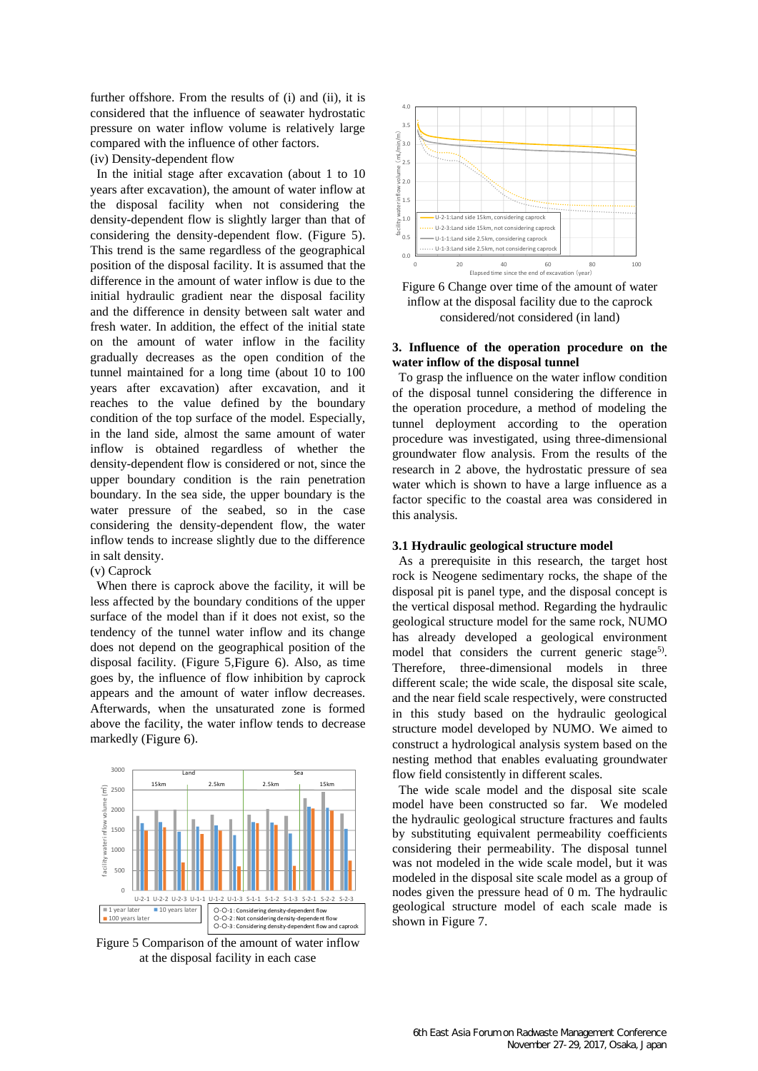further offshore. From the results of (i) and (ii), it is considered that the influence of seawater hydrostatic pressure on water inflow volume is relatively large compared with the influence of other factors.

(iv) Density-dependent flow

In the initial stage after excavation (about 1 to 10 years after excavation), the amount of water inflow at the disposal facility when not considering the density-dependent flow is slightly larger than that of considering the density-dependent flow. [\(Figure 5\)](#page-3-0). This trend is the same regardless of the geographical position of the disposal facility. It is assumed that the difference in the amount of water inflow is due to the initial hydraulic gradient near the disposal facility and the difference in density between salt water and fresh water. In addition, the effect of the initial state on the amount of water inflow in the facility gradually decreases as the open condition of the tunnel maintained for a long time (about 10 to 100 years after excavation) after excavation, and it reaches to the value defined by the boundary condition of the top surface of the model. Especially, in the land side, almost the same amount of water inflow is obtained regardless of whether the density-dependent flow is considered or not, since the upper boundary condition is the rain penetration boundary. In the sea side, the upper boundary is the water pressure of the seabed, so in the case considering the density-dependent flow, the water inflow tends to increase slightly due to the difference in salt density.

### (v) Caprock

When there is caprock above the facility, it will be less affected by the boundary conditions of the upper surface of the model than if it does not exist, so the tendency of the tunnel water inflow and its change does not depend on the geographical position of the disposal facility. [\(Figure 5,](#page-3-0)[Figure 6](#page-3-1)). Also, as time goes by, the influence of flow inhibition by caprock appears and the amount of water inflow decreases. Afterwards, when the unsaturated zone is formed above the facility, the water inflow tends to decrease markedly ([Figure 6](#page-3-1)).



<span id="page-3-0"></span>Figure 5 Comparison of the amount of water inflow at the disposal facility in each case



<span id="page-3-1"></span>Figure 6 Change over time of the amount of water inflow at the disposal facility due to the caprock considered/not considered (in land)

### **3. Influence of the operation procedure on the water inflow of the disposal tunnel**

To grasp the influence on the water inflow condition of the disposal tunnel considering the difference in the operation procedure, a method of modeling the tunnel deployment according to the operation procedure was investigated, using three-dimensional groundwater flow analysis. From the results of the research in 2 above, the hydrostatic pressure of sea water which is shown to have a large influence as a factor specific to the coastal area was considered in this analysis.

### **3.1 Hydraulic geological structure model**

As a prerequisite in this research, the target host rock is Neogene sedimentary rocks, the shape of the disposal pit is panel type, and the disposal concept is the vertical disposal method. Regarding the hydraulic geological structure model for the same rock, NUMO has already developed a geological environment model that considers the current generic stage<sup>5)</sup>. Therefore, three-dimensional models in three different scale; the wide scale, the disposal site scale, and the near field scale respectively, were constructed in this study based on the hydraulic geological structure model developed by NUMO. We aimed to construct a hydrological analysis system based on the nesting method that enables evaluating groundwater flow field consistently in different scales.

The wide scale model and the disposal site scale model have been constructed so far. We modeled the hydraulic geological structure fractures and faults by substituting equivalent permeability coefficients considering their permeability. The disposal tunnel was not modeled in the wide scale model, but it was modeled in the disposal site scale model as a group of nodes given the pressure head of 0 m. The hydraulic geological structure model of each scale made is shown in [Figure 7.](#page-4-0)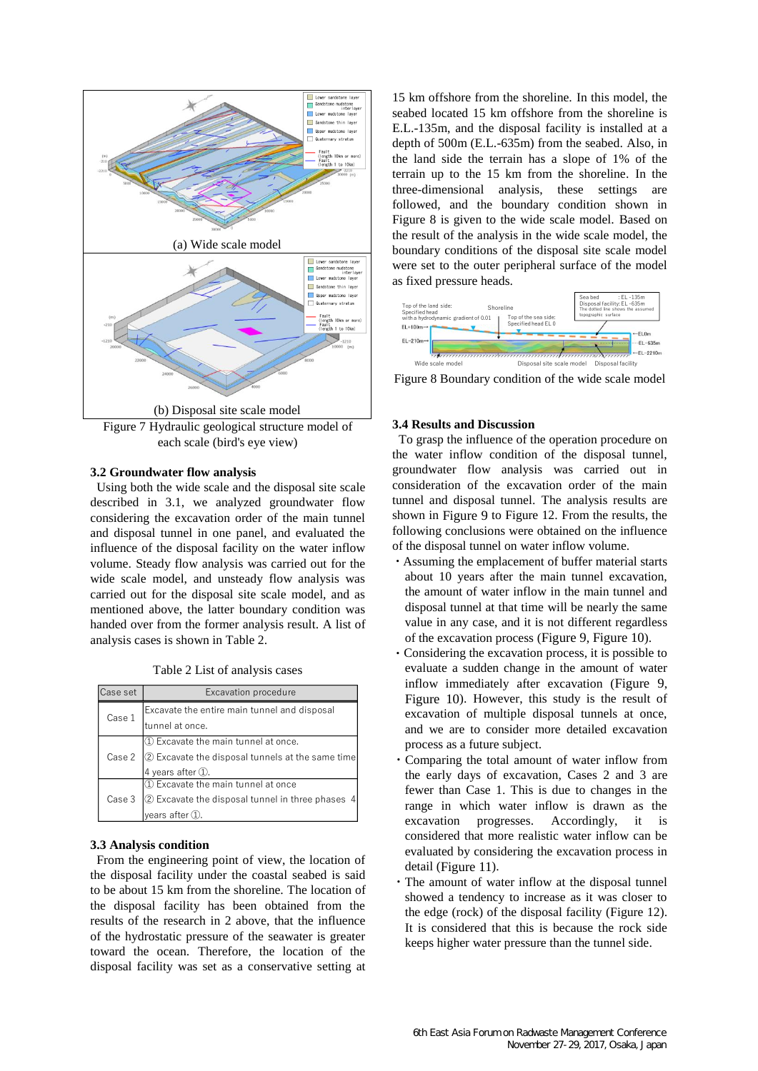

<span id="page-4-0"></span>Figure 7 Hydraulic geological structure model of each scale (bird's eye view)

### **3.2 Groundwater flow analysis**

Using both the wide scale and the disposal site scale described in 3.1, we analyzed groundwater flow considering the excavation order of the main tunnel and disposal tunnel in one panel, and evaluated the influence of the disposal facility on the water inflow volume. Steady flow analysis was carried out for the wide scale model, and unsteady flow analysis was carried out for the disposal site scale model, and as mentioned above, the latter boundary condition was handed over from the former analysis result. A list of analysis cases is shown in Table 2.

Table 2 List of analysis cases

| Case set | Excavation procedure                                      |  |  |
|----------|-----------------------------------------------------------|--|--|
| Case 1   | Excavate the entire main tunnel and disposal              |  |  |
|          | tunnel at once.                                           |  |  |
| Case 2   | 1) Excavate the main tunnel at once.                      |  |  |
|          | 2 Excavate the disposal tunnels at the same time          |  |  |
|          | 4 years after 1.                                          |  |  |
| Case 3   | $\textcircled{\tiny{1}}$ Excavate the main tunnel at once |  |  |
|          | 2 Excavate the disposal tunnel in three phases            |  |  |
|          | years after $(1)$ .                                       |  |  |

#### **3.3 Analysis condition**

From the engineering point of view, the location of the disposal facility under the coastal seabed is said to be about 15 km from the shoreline. The location of the disposal facility has been obtained from the results of the research in 2 above, that the influence of the hydrostatic pressure of the seawater is greater toward the ocean. Therefore, the location of the disposal facility was set as a conservative setting at 15 km offshore from the shoreline. In this model, the seabed located 15 km offshore from the shoreline is E.L.-135m, and the disposal facility is installed at a depth of 500m (E.L.-635m) from the seabed. Also, in the land side the terrain has a slope of 1% of the terrain up to the 15 km from the shoreline. In the three-dimensional analysis, these settings are followed, and the boundary condition shown in [Figure 8](#page-4-1) is given to the wide scale model. Based on the result of the analysis in the wide scale model, the boundary conditions of the disposal site scale model were set to the outer peripheral surface of the model as fixed pressure heads.



<span id="page-4-1"></span>Figure 8 Boundary condition of the wide scale model

#### **3.4 Results and Discussion**

To grasp the influence of the operation procedure on the water inflow condition of the disposal tunnel, groundwater flow analysis was carried out in consideration of the excavation order of the main tunnel and disposal tunnel. The analysis results are shown in [Figure 9](#page-5-0) to [Figure 12.](#page-5-1) From the results, the following conclusions were obtained on the influence of the disposal tunnel on water inflow volume.

- ・Assuming the emplacement of buffer material starts about 10 years after the main tunnel excavation, the amount of water inflow in the main tunnel and disposal tunnel at that time will be nearly the same value in any case, and it is not different regardless of the excavation process ([Figure 9](#page-5-0), [Figure 10](#page-5-2)).
- Considering the excavation process, it is possible to evaluate a sudden change in the amount of water inflow immediately after excavation ([Figure 9](#page-5-0), [Figure 10](#page-5-2)). However, this study is the result of excavation of multiple disposal tunnels at once, and we are to consider more detailed excavation process as a future subject.
- Comparing the total amount of water inflow from the early days of excavation, Cases 2 and 3 are fewer than Case 1. This is due to changes in the range in which water inflow is drawn as the excavation progresses. Accordingly, it is considered that more realistic water inflow can be evaluated by considering the excavation process in detail ([Figure 11](#page-5-3)).
- ・The amount of water inflow at the disposal tunnel showed a tendency to increase as it was closer to the edge (rock) of the disposal facility [\(Figure 12\)](#page-5-1). It is considered that this is because the rock side keeps higher water pressure than the tunnel side.